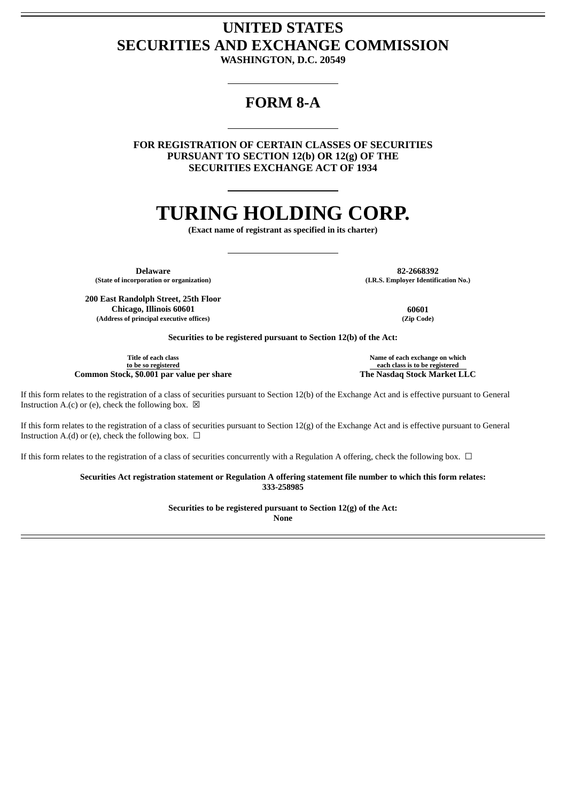## **UNITED STATES SECURITIES AND EXCHANGE COMMISSION**

**WASHINGTON, D.C. 20549**

### **FORM 8-A**

**FOR REGISTRATION OF CERTAIN CLASSES OF SECURITIES PURSUANT TO SECTION 12(b) OR 12(g) OF THE SECURITIES EXCHANGE ACT OF 1934**

# **TURING HOLDING CORP.**

**(Exact name of registrant as specified in its charter)**

**(State of incorporation or organization) (I.R.S. Employer Identification No.)**

**Delaware 82-2668392**

**200 East Randolph Street, 25th Floor Chicago, Illinois 60601 60601 (Address of principal executive offices) (Zip Code)**

**Securities to be registered pursuant to Section 12(b) of the Act:**

**Title of each class to be so registered Common Stock, \$0.001 par value per share The Nasdaq Stock Market LLC**

**Name of each exchange on which each class is to be registered**

If this form relates to the registration of a class of securities pursuant to Section 12(b) of the Exchange Act and is effective pursuant to General Instruction A.(c) or (e), check the following box.  $\boxtimes$ 

If this form relates to the registration of a class of securities pursuant to Section 12(g) of the Exchange Act and is effective pursuant to General Instruction A.(d) or (e), check the following box.  $\Box$ 

If this form relates to the registration of a class of securities concurrently with a Regulation A offering, check the following box.  $\Box$ 

**Securities Act registration statement or Regulation A offering statement file number to which this form relates: 333-258985**

> **Securities to be registered pursuant to Section 12(g) of the Act: None**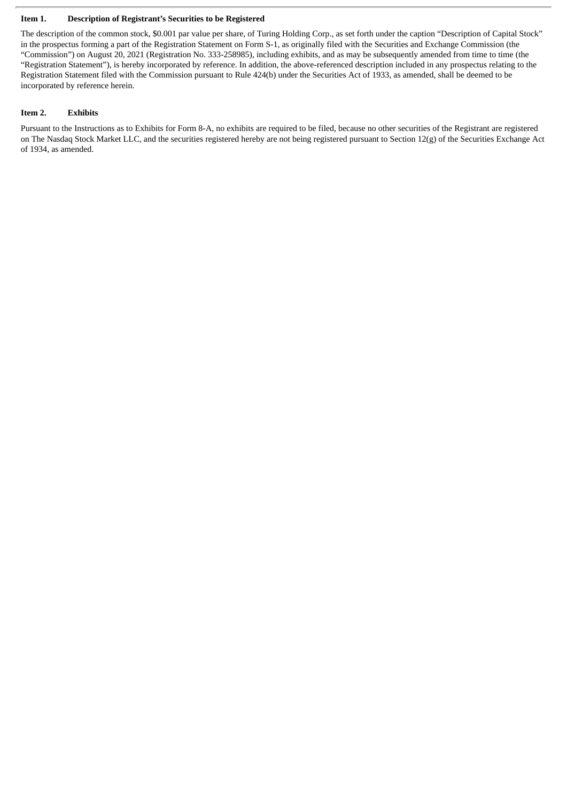#### **Item 1. Description of Registrant's Securities to be Registered**

The description of the common stock, \$0.001 par value per share, of Turing Holding Corp., as set forth under the caption "Description of Capital Stock" in the prospectus forming a part of the Registration Statement on Form S-1, as originally filed with the Securities and Exchange Commission (the "Commission") on August 20, 2021 (Registration No. 333-258985), including exhibits, and as may be subsequently amended from time to time (the "Registration Statement"), is hereby incorporated by reference. In addition, the above-referenced description included in any prospectus relating to the Registration Statement filed with the Commission pursuant to Rule 424(b) under the Securities Act of 1933, as amended, shall be deemed to be incorporated by reference herein.

#### **Item 2. Exhibits**

Pursuant to the Instructions as to Exhibits for Form 8-A, no exhibits are required to be filed, because no other securities of the Registrant are registered on The Nasdaq Stock Market LLC, and the securities registered hereby are not being registered pursuant to Section 12(g) of the Securities Exchange Act of 1934, as amended.